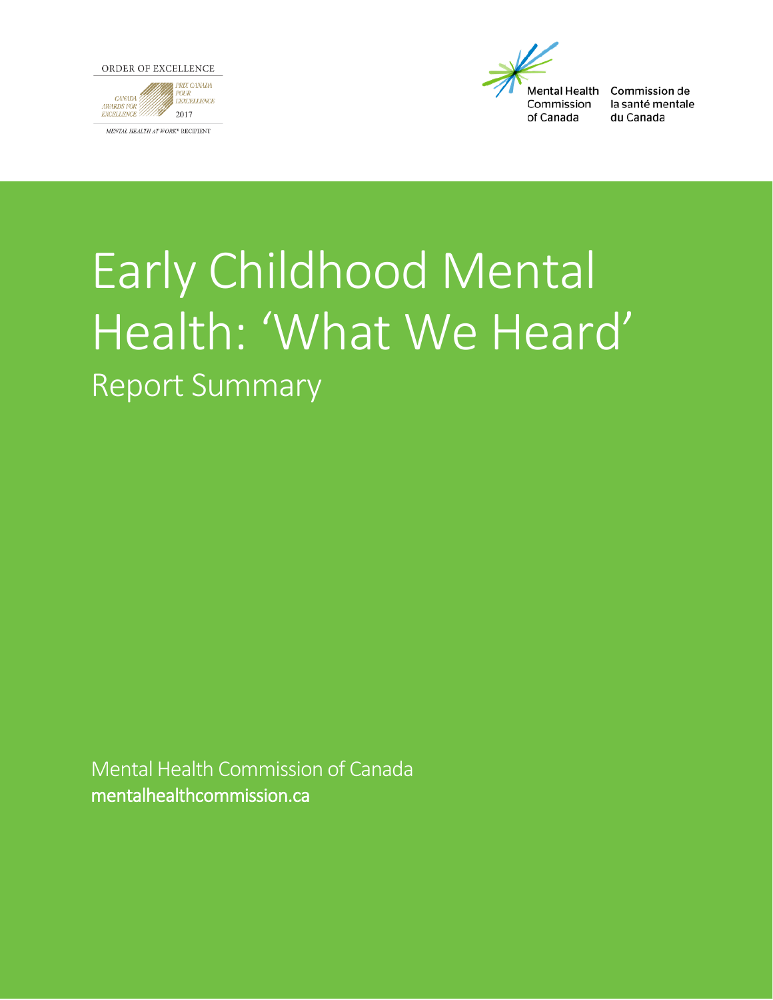



Commission de la santé mentale du Canada

# Early Childhood Mental Health: 'What We Heard' Report Summary

Mental Health Commission of Canada mentalhealthcommission.ca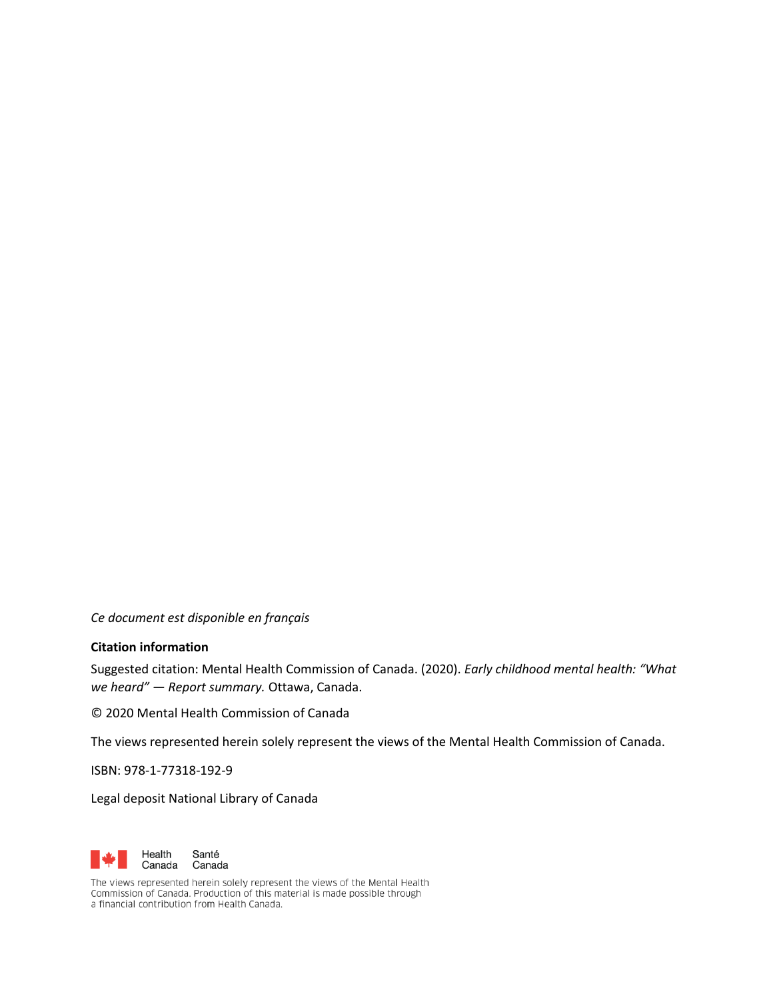*Ce document est disponible en français*

#### **Citation information**

Suggested citation: Mental Health Commission of Canada. (2020). *Early childhood mental health: "What we heard" — Report summary.* Ottawa, Canada.

© 2020 Mental Health Commission of Canada

The views represented herein solely represent the views of the Mental Health Commission of Canada.

ISBN: 978-1-77318-192-9

Legal deposit National Library of Canada



The views represented herein solely represent the views of the Mental Health<br>Commission of Canada. Production of this material is made possible through a financial contribution from Health Canada.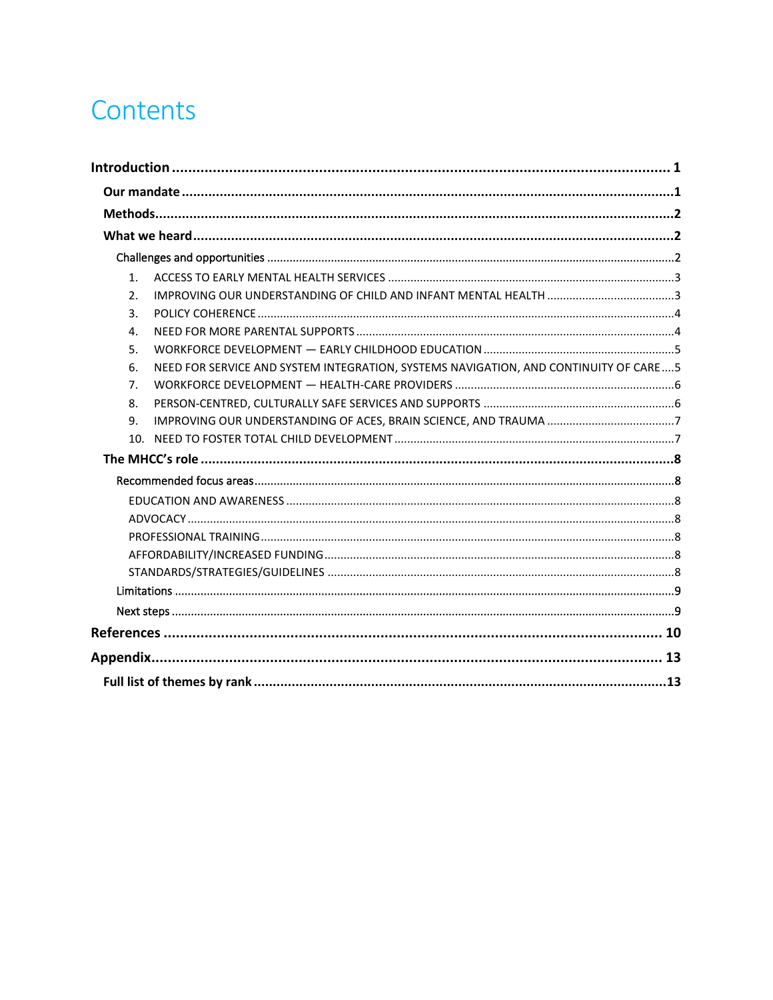## Contents

| 1.  |                                                                                      |
|-----|--------------------------------------------------------------------------------------|
| 2.  |                                                                                      |
| 3.  |                                                                                      |
| 4.  |                                                                                      |
| 5.  |                                                                                      |
| 6.  | NEED FOR SERVICE AND SYSTEM INTEGRATION, SYSTEMS NAVIGATION, AND CONTINUITY OF CARE5 |
| 7.  |                                                                                      |
| 8.  |                                                                                      |
| 9.  |                                                                                      |
| 10. |                                                                                      |
|     |                                                                                      |
|     |                                                                                      |
|     |                                                                                      |
|     |                                                                                      |
|     |                                                                                      |
|     |                                                                                      |
|     |                                                                                      |
|     |                                                                                      |
|     |                                                                                      |
|     |                                                                                      |
|     |                                                                                      |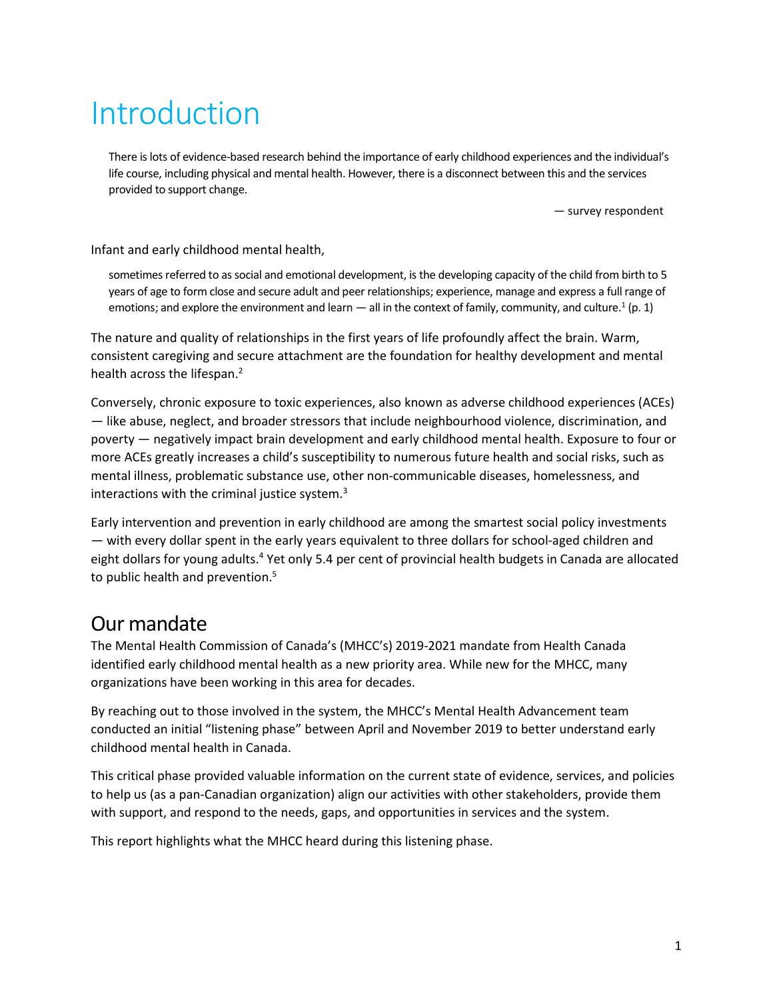## <span id="page-3-0"></span>Introduction

There is lots of evidence-based research behind the importance of early childhood experiences and the individual's life course, including physical and mental health. However, there is a disconnect between this and the services provided to support change.

— survey respondent

Infant and early childhood mental health,

sometimes referred to as social and emotional development, is the developing capacity of the child from birth to 5 years of age to form close and secure adult and peer relationships; experience, manage and express a full range of emotions; and explore the environment and learn  $-$  all in the context of family, community, and culture.<sup>1</sup> (p. 1)

The nature and quality of relationships in the first years of life profoundly affect the brain. Warm, consistent caregiving and secure attachment are the foundation for healthy development and mental health across the lifespan.<sup>2</sup>

Conversely, chronic exposure to toxic experiences, also known as adverse childhood experiences (ACEs) — like abuse, neglect, and broader stressors that include neighbourhood violence, discrimination, and poverty — negatively impact brain development and early childhood mental health. Exposure to four or more ACEs greatly increases a child's susceptibility to numerous future health and social risks, such as mental illness, problematic substance use, other non-communicable diseases, homelessness, and interactions with the criminal justice system. $3$ 

Early intervention and prevention in early childhood are among the smartest social policy investments — with every dollar spent in the early years equivalent to three dollars for school-aged children and eight dollars for young adults.<sup>4</sup> Yet only 5.4 per cent of provincial health budgets in Canada are allocated to public health and prevention.<sup>5</sup>

### <span id="page-3-1"></span>Our mandate

The Mental Health Commission of Canada's (MHCC's) 2019-2021 mandate from Health Canada identified early childhood mental health as a new priority area. While new for the MHCC, many organizations have been working in this area for decades.

By reaching out to those involved in the system, the MHCC's Mental Health Advancement team conducted an initial "listening phase" between April and November 2019 to better understand early childhood mental health in Canada.

This critical phase provided valuable information on the current state of evidence, services, and policies to help us (as a pan-Canadian organization) align our activities with other stakeholders, provide them with support, and respond to the needs, gaps, and opportunities in services and the system.

This report highlights what the MHCC heard during this listening phase.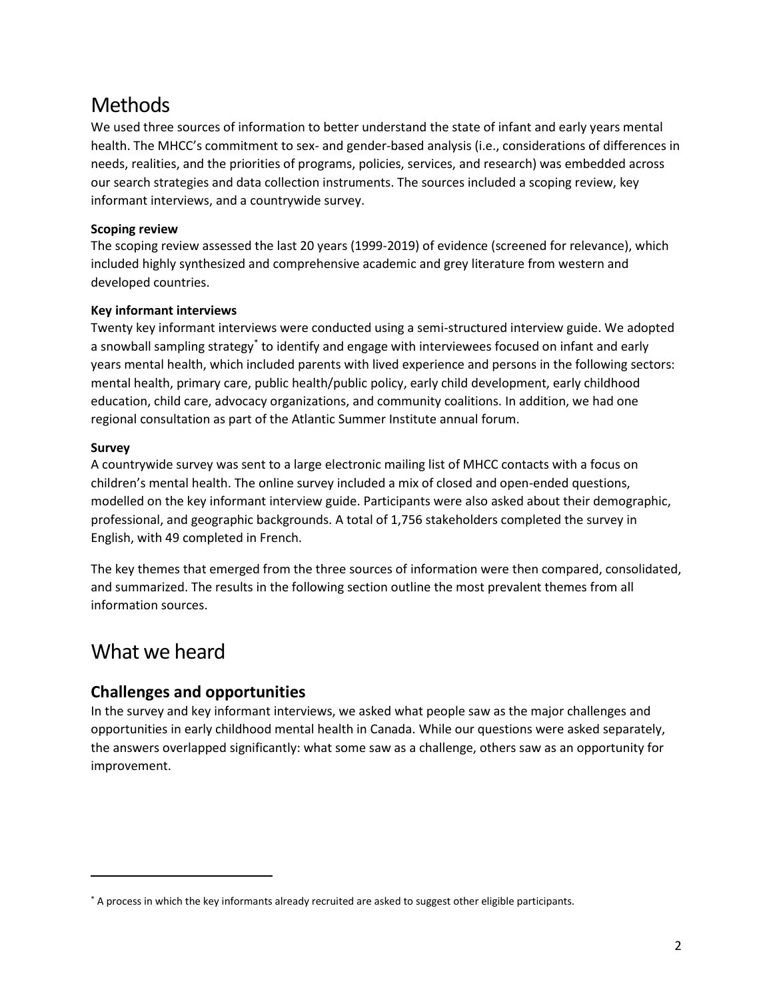### <span id="page-4-0"></span>**Methods**

We used three sources of information to better understand the state of infant and early years mental health. The MHCC's commitment to sex- and gender-based analysis (i.e., considerations of differences in needs, realities, and the priorities of programs, policies, services, and research) was embedded across our search strategies and data collection instruments. The sources included a scoping review, key informant interviews, and a countrywide survey.

#### **Scoping review**

The scoping review assessed the last 20 years (1999-2019) of evidence (screened for relevance), which included highly synthesized and comprehensive academic and grey literature from western and developed countries.

#### **Key informant interviews**

Twenty key informant interviews were conducted using a semi-structured interview guide. We adopted a snowball sampling strategy<sup>\*</sup> to identify and engage with interviewees focused on infant and early years mental health, which included parents with lived experience and persons in the following sectors: mental health, primary care, public health/public policy, early child development, early childhood education, child care, advocacy organizations, and community coalitions. In addition, we had one regional consultation as part of the Atlantic Summer Institute annual forum.

#### **Survey**

A countrywide survey was sent to a large electronic mailing list of MHCC contacts with a focus on children's mental health. The online survey included a mix of closed and open-ended questions, modelled on the key informant interview guide. Participants were also asked about their demographic, professional, and geographic backgrounds. A total of 1,756 stakeholders completed the survey in English, with 49 completed in French.

The key themes that emerged from the three sources of information were then compared, consolidated, and summarized. The results in the following section outline the most prevalent themes from all information sources.

### <span id="page-4-1"></span>What we heard

#### <span id="page-4-2"></span>**Challenges and opportunities**

In the survey and key informant interviews, we asked what people saw as the major challenges and opportunities in early childhood mental health in Canada. While our questions were asked separately, the answers overlapped significantly: what some saw as a challenge, others saw as an opportunity for improvement.

<sup>\*</sup> A process in which the key informants already recruited are asked to suggest other eligible participants.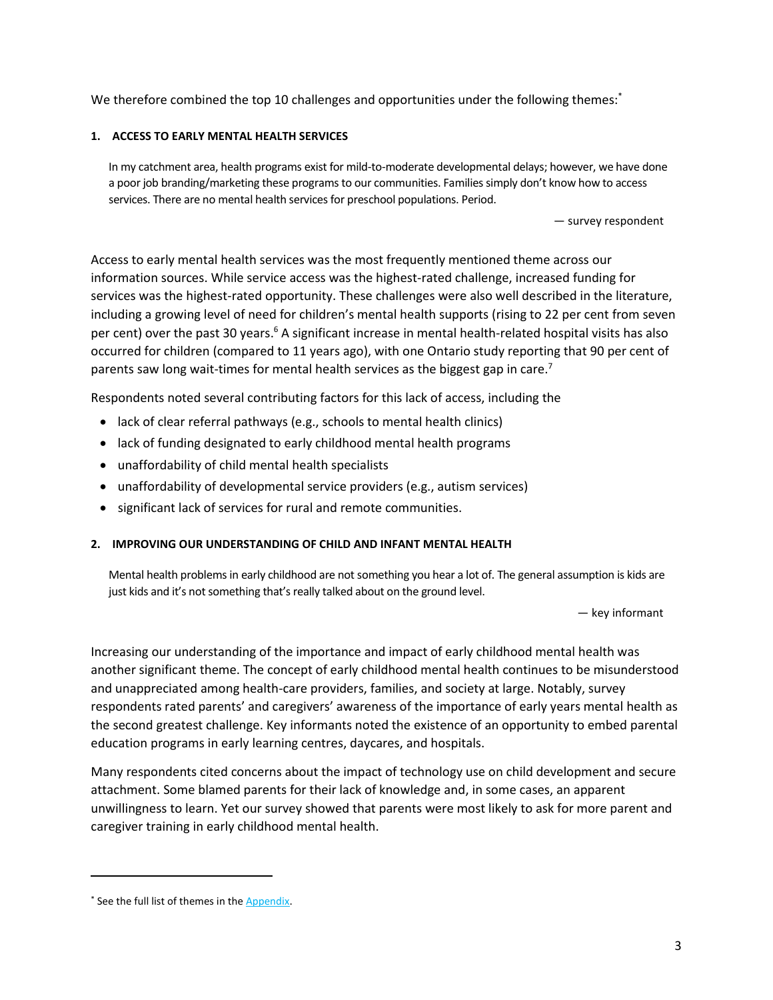We therefore combined the top 10 challenges and opportunities under the following themes:

#### <span id="page-5-0"></span>**1. ACCESS TO EARLY MENTAL HEALTH SERVICES**

In my catchment area, health programs exist for mild-to-moderate developmental delays; however, we have done a poor job branding/marketing these programs to our communities. Families simply don't know how to access services. There are no mental health services for preschool populations. Period.

— survey respondent

Access to early mental health services was the most frequently mentioned theme across our information sources. While service access was the highest-rated challenge, increased funding for services was the highest-rated opportunity. These challenges were also well described in the literature, including a growing level of need for children's mental health supports (rising to 22 per cent from seven per cent) over the past 30 years.<sup>6</sup> A significant increase in mental health-related hospital visits has also occurred for children (compared to 11 years ago), with one Ontario study reporting that 90 per cent of parents saw long wait-times for mental health services as the biggest gap in care.<sup>7</sup>

Respondents noted several contributing factors for this lack of access, including the

- lack of clear referral pathways (e.g., schools to mental health clinics)
- lack of funding designated to early childhood mental health programs
- unaffordability of child mental health specialists
- unaffordability of developmental service providers (e.g., autism services)
- significant lack of services for rural and remote communities.

#### <span id="page-5-1"></span>**2. IMPROVING OUR UNDERSTANDING OF CHILD AND INFANT MENTAL HEALTH**

Mental health problems in early childhood are not something you hear a lot of. The general assumption is kids are just kids and it's not something that's really talked about on the ground level.

— key informant

Increasing our understanding of the importance and impact of early childhood mental health was another significant theme. The concept of early childhood mental health continues to be misunderstood and unappreciated among health-care providers, families, and society at large. Notably, survey respondents rated parents' and caregivers' awareness of the importance of early years mental health as the second greatest challenge. Key informants noted the existence of an opportunity to embed parental education programs in early learning centres, daycares, and hospitals.

Many respondents cited concerns about the impact of technology use on child development and secure attachment. Some blamed parents for their lack of knowledge and, in some cases, an apparent unwillingness to learn. Yet our survey showed that parents were most likely to ask for more parent and caregiver training in early childhood mental health.

<sup>\*</sup> See the full list of themes in the [Appendix.](#page-15-0)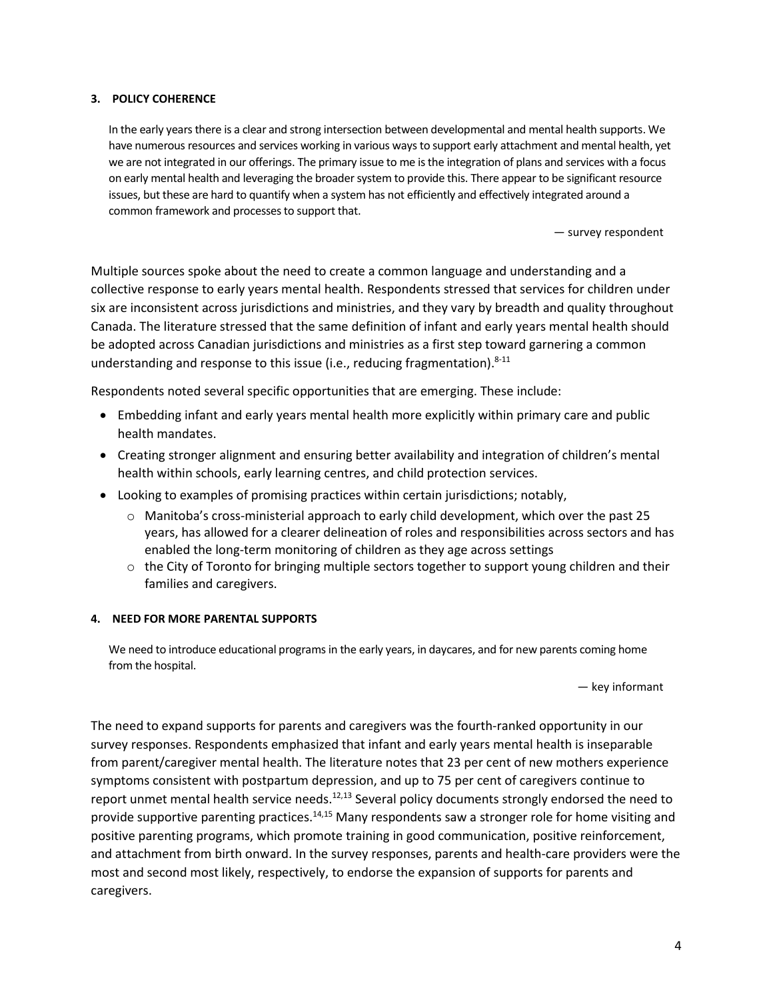#### <span id="page-6-0"></span>**3. POLICY COHERENCE**

In the early years there is a clear and strong intersection between developmental and mental health supports. We have numerous resources and services working in various ways to support early attachment and mental health, yet we are not integrated in our offerings. The primary issue to me isthe integration of plans and services with a focus on early mental health and leveraging the broader system to provide this. There appear to be significant resource issues, but these are hard to quantify when a system has not efficiently and effectively integrated around a common framework and processes to support that.

— survey respondent

Multiple sources spoke about the need to create a common language and understanding and a collective response to early years mental health. Respondents stressed that services for children under six are inconsistent across jurisdictions and ministries, and they vary by breadth and quality throughout Canada. The literature stressed that the same definition of infant and early years mental health should be adopted across Canadian jurisdictions and ministries as a first step toward garnering a common understanding and response to this issue (i.e., reducing fragmentation).<sup>8-11</sup>

Respondents noted several specific opportunities that are emerging. These include:

- Embedding infant and early years mental health more explicitly within primary care and public health mandates.
- Creating stronger alignment and ensuring better availability and integration of children's mental health within schools, early learning centres, and child protection services.
- Looking to examples of promising practices within certain jurisdictions; notably,
	- $\circ$  Manitoba's cross-ministerial approach to early child development, which over the past 25 years, has allowed for a clearer delineation of roles and responsibilities across sectors and has enabled the long-term monitoring of children as they age across settings
	- $\circ$  the City of Toronto for bringing multiple sectors together to support young children and their families and caregivers.

#### <span id="page-6-1"></span>**4. NEED FOR MORE PARENTAL SUPPORTS**

We need to introduce educational programs in the early years, in daycares, and for new parents coming home from the hospital.

— key informant

The need to expand supports for parents and caregivers was the fourth-ranked opportunity in our survey responses. Respondents emphasized that infant and early years mental health is inseparable from parent/caregiver mental health. The literature notes that 23 per cent of new mothers experience symptoms consistent with postpartum depression, and up to 75 per cent of caregivers continue to report unmet mental health service needs.<sup>12,13</sup> Several policy documents strongly endorsed the need to provide supportive parenting practices.<sup>14,15</sup> Many respondents saw a stronger role for home visiting and positive parenting programs, which promote training in good communication, positive reinforcement, and attachment from birth onward. In the survey responses, parents and health-care providers were the most and second most likely, respectively, to endorse the expansion of supports for parents and caregivers.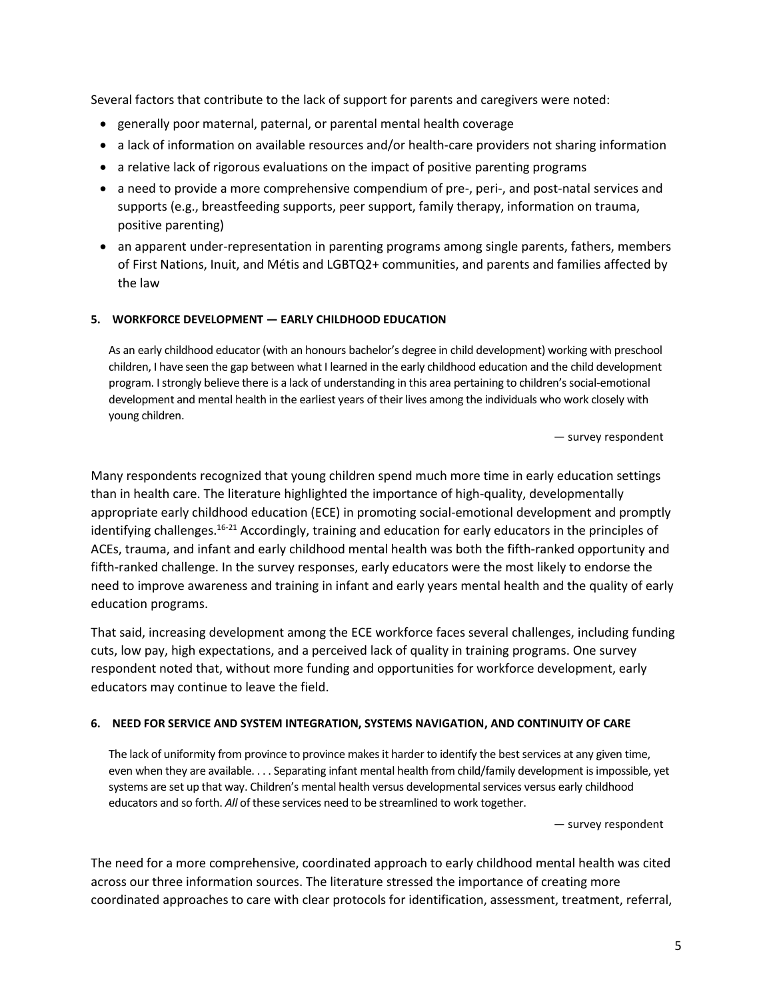Several factors that contribute to the lack of support for parents and caregivers were noted:

- generally poor maternal, paternal, or parental mental health coverage
- a lack of information on available resources and/or health-care providers not sharing information
- a relative lack of rigorous evaluations on the impact of positive parenting programs
- a need to provide a more comprehensive compendium of pre-, peri-, and post-natal services and supports (e.g., breastfeeding supports, peer support, family therapy, information on trauma, positive parenting)
- an apparent under-representation in parenting programs among single parents, fathers, members of First Nations, Inuit, and Métis and LGBTQ2+ communities, and parents and families affected by the law

#### <span id="page-7-0"></span>**5. WORKFORCE DEVELOPMENT — EARLY CHILDHOOD EDUCATION**

As an early childhood educator (with an honours bachelor's degree in child development) working with preschool children, I have seen the gap between what I learned in the early childhood education and the child development program. I strongly believe there is a lack of understanding in this area pertaining to children's social-emotional development and mental health in the earliest years of their lives among the individuals who work closely with young children.

— survey respondent

Many respondents recognized that young children spend much more time in early education settings than in health care. The literature highlighted the importance of high-quality, developmentally appropriate early childhood education (ECE) in promoting social-emotional development and promptly identifying challenges.16-21 Accordingly, training and education for early educators in the principles of ACEs, trauma, and infant and early childhood mental health was both the fifth-ranked opportunity and fifth-ranked challenge. In the survey responses, early educators were the most likely to endorse the need to improve awareness and training in infant and early years mental health and the quality of early education programs.

That said, increasing development among the ECE workforce faces several challenges, including funding cuts, low pay, high expectations, and a perceived lack of quality in training programs. One survey respondent noted that, without more funding and opportunities for workforce development, early educators may continue to leave the field.

#### <span id="page-7-1"></span>**6. NEED FOR SERVICE AND SYSTEM INTEGRATION, SYSTEMS NAVIGATION, AND CONTINUITY OF CARE**

The lack of uniformity from province to province makes it harder to identify the best services at any given time, even when they are available. . . . Separating infant mental health from child/family development is impossible, yet systems are set up that way. Children's mental health versus developmental services versus early childhood educators and so forth. *All* of these services need to be streamlined to work together.

— survey respondent

The need for a more comprehensive, coordinated approach to early childhood mental health was cited across our three information sources. The literature stressed the importance of creating more coordinated approaches to care with clear protocols for identification, assessment, treatment, referral,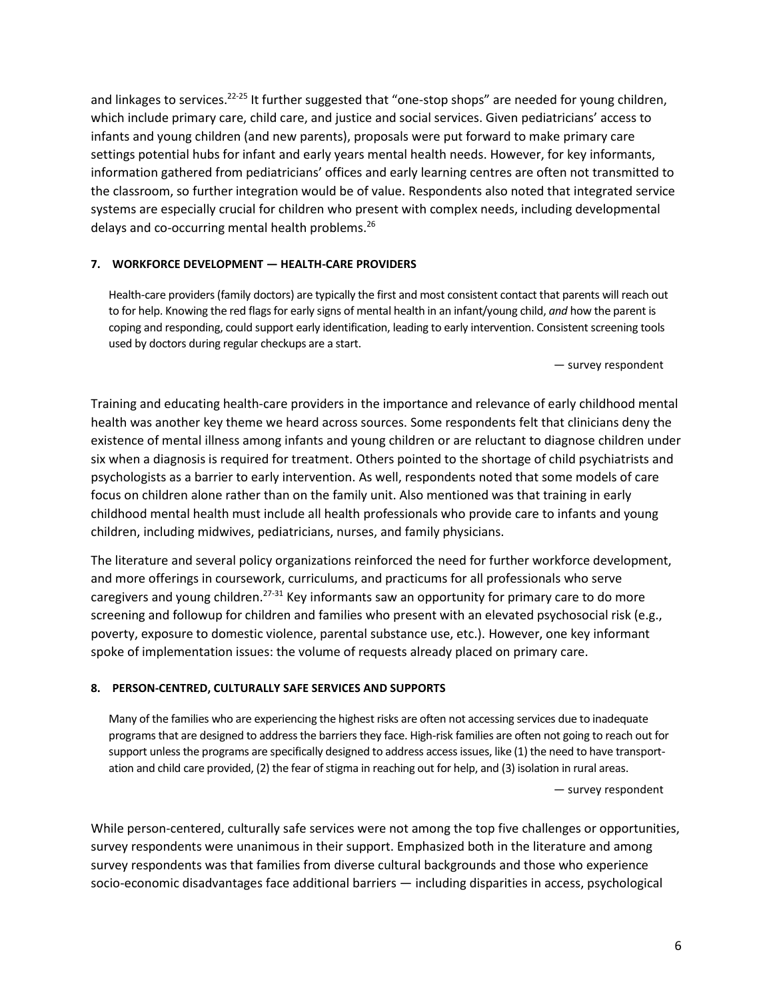and linkages to services.<sup>22-25</sup> It further suggested that "one-stop shops" are needed for young children, which include primary care, child care, and justice and social services. Given pediatricians' access to infants and young children (and new parents), proposals were put forward to make primary care settings potential hubs for infant and early years mental health needs. However, for key informants, information gathered from pediatricians' offices and early learning centres are often not transmitted to the classroom, so further integration would be of value. Respondents also noted that integrated service systems are especially crucial for children who present with complex needs, including developmental delays and co-occurring mental health problems.<sup>26</sup>

#### <span id="page-8-0"></span>**7. WORKFORCE DEVELOPMENT — HEALTH-CARE PROVIDERS**

Health-care providers (family doctors) are typically the first and most consistent contact that parents will reach out to for help. Knowing the red flags for early signs of mental health in an infant/young child, *and* how the parent is coping and responding, could support early identification, leading to early intervention. Consistent screening tools used by doctors during regular checkups are a start.

— survey respondent

Training and educating health-care providers in the importance and relevance of early childhood mental health was another key theme we heard across sources. Some respondents felt that clinicians deny the existence of mental illness among infants and young children or are reluctant to diagnose children under six when a diagnosis is required for treatment. Others pointed to the shortage of child psychiatrists and psychologists as a barrier to early intervention. As well, respondents noted that some models of care focus on children alone rather than on the family unit. Also mentioned was that training in early childhood mental health must include all health professionals who provide care to infants and young children, including midwives, pediatricians, nurses, and family physicians.

The literature and several policy organizations reinforced the need for further workforce development, and more offerings in coursework, curriculums, and practicums for all professionals who serve caregivers and young children.<sup>27-31</sup> Key informants saw an opportunity for primary care to do more screening and followup for children and families who present with an elevated psychosocial risk (e.g., poverty, exposure to domestic violence, parental substance use, etc.). However, one key informant spoke of implementation issues: the volume of requests already placed on primary care.

#### <span id="page-8-1"></span>**8. PERSON-CENTRED, CULTURALLY SAFE SERVICES AND SUPPORTS**

Many of the families who are experiencing the highest risks are often not accessing services due to inadequate programs that are designed to address the barriers they face. High-risk families are often not going to reach out for support unless the programs are specifically designed to address access issues, like (1) the need to have transportation and child care provided, (2) the fear of stigma in reaching out for help, and (3) isolation in rural areas.

— survey respondent

While person-centered, culturally safe services were not among the top five challenges or opportunities, survey respondents were unanimous in their support. Emphasized both in the literature and among survey respondents was that families from diverse cultural backgrounds and those who experience socio-economic disadvantages face additional barriers — including disparities in access, psychological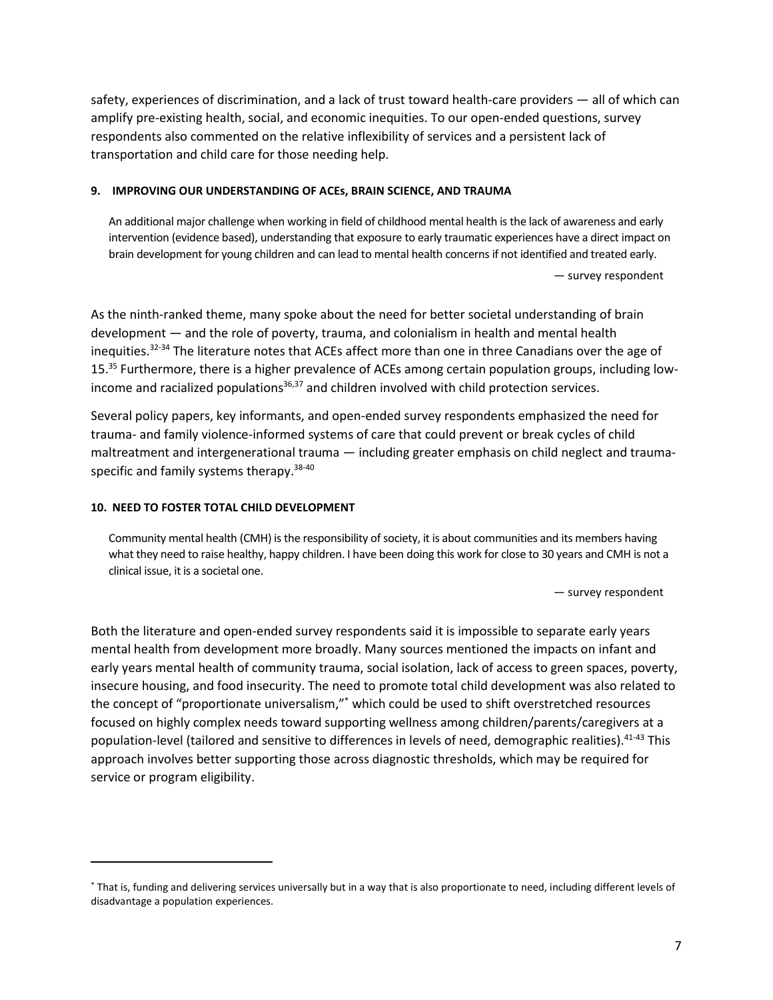safety, experiences of discrimination, and a lack of trust toward health-care providers — all of which can amplify pre-existing health, social, and economic inequities. To our open-ended questions, survey respondents also commented on the relative inflexibility of services and a persistent lack of transportation and child care for those needing help.

#### <span id="page-9-0"></span>**9. IMPROVING OUR UNDERSTANDING OF ACEs, BRAIN SCIENCE, AND TRAUMA**

An additional major challenge when working in field of childhood mental health is the lack of awareness and early intervention (evidence based), understanding that exposure to early traumatic experiences have a direct impact on brain development for young children and can lead to mental health concerns if not identified and treated early. — survey respondent

As the ninth-ranked theme, many spoke about the need for better societal understanding of brain development — and the role of poverty, trauma, and colonialism in health and mental health inequities.<sup>32-34</sup> The literature notes that ACEs affect more than one in three Canadians over the age of 15.<sup>35</sup> Furthermore, there is a higher prevalence of ACEs among certain population groups, including lowincome and racialized populations $36,37$  and children involved with child protection services.

Several policy papers, key informants, and open-ended survey respondents emphasized the need for trauma- and family violence-informed systems of care that could prevent or break cycles of child maltreatment and intergenerational trauma — including greater emphasis on child neglect and traumaspecific and family systems therapy.<sup>38-40</sup>

#### <span id="page-9-1"></span>**10. NEED TO FOSTER TOTAL CHILD DEVELOPMENT**

Community mental health (CMH) is the responsibility of society, it is about communities and its members having what they need to raise healthy, happy children. I have been doing this work for close to 30 years and CMH is not a clinical issue, it is a societal one.

— survey respondent

Both the literature and open-ended survey respondents said it is impossible to separate early years mental health from development more broadly. Many sources mentioned the impacts on infant and early years mental health of community trauma, social isolation, lack of access to green spaces, poverty, insecure housing, and food insecurity. The need to promote total child development was also related to the concept of "proportionate universalism," \* which could be used to shift overstretched resources focused on highly complex needs toward supporting wellness among children/parents/caregivers at a population-level (tailored and sensitive to differences in levels of need, demographic realities).<sup>41-43</sup> This approach involves better supporting those across diagnostic thresholds, which may be required for service or program eligibility.

<sup>\*</sup> That is, funding and delivering services universally but in a way that is also proportionate to need, including different levels of disadvantage a population experiences.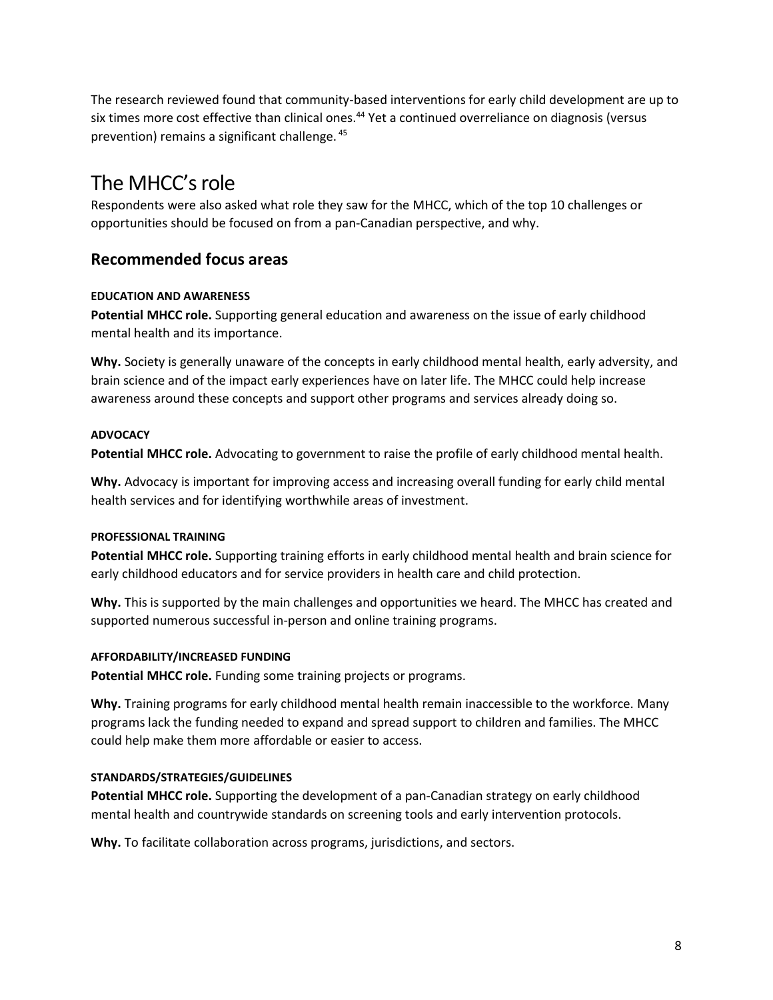The research reviewed found that community-based interventions for early child development are up to six times more cost effective than clinical ones.<sup>44</sup> Yet a continued overreliance on diagnosis (versus prevention) remains a significant challenge. <sup>45</sup>

## <span id="page-10-0"></span>The MHCC's role

Respondents were also asked what role they saw for the MHCC, which of the top 10 challenges or opportunities should be focused on from a pan-Canadian perspective, and why.

#### <span id="page-10-1"></span>**Recommended focus areas**

#### <span id="page-10-2"></span>**EDUCATION AND AWARENESS**

**Potential MHCC role.** Supporting general education and awareness on the issue of early childhood mental health and its importance.

**Why.** Society is generally unaware of the concepts in early childhood mental health, early adversity, and brain science and of the impact early experiences have on later life. The MHCC could help increase awareness around these concepts and support other programs and services already doing so.

#### <span id="page-10-3"></span>**ADVOCACY**

**Potential MHCC role.** Advocating to government to raise the profile of early childhood mental health.

**Why.** Advocacy is important for improving access and increasing overall funding for early child mental health services and for identifying worthwhile areas of investment.

#### <span id="page-10-4"></span>**PROFESSIONAL TRAINING**

**Potential MHCC role.** Supporting training efforts in early childhood mental health and brain science for early childhood educators and for service providers in health care and child protection.

**Why.** This is supported by the main challenges and opportunities we heard. The MHCC has created and supported numerous successful in-person and online training programs.

#### <span id="page-10-5"></span>**AFFORDABILITY/INCREASED FUNDING**

Potential MHCC role. Funding some training projects or programs.

**Why.** Training programs for early childhood mental health remain inaccessible to the workforce. Many programs lack the funding needed to expand and spread support to children and families. The MHCC could help make them more affordable or easier to access.

#### <span id="page-10-6"></span>**STANDARDS/STRATEGIES/GUIDELINES**

**Potential MHCC role.** Supporting the development of a pan-Canadian strategy on early childhood mental health and countrywide standards on screening tools and early intervention protocols.

**Why.** To facilitate collaboration across programs, jurisdictions, and sectors.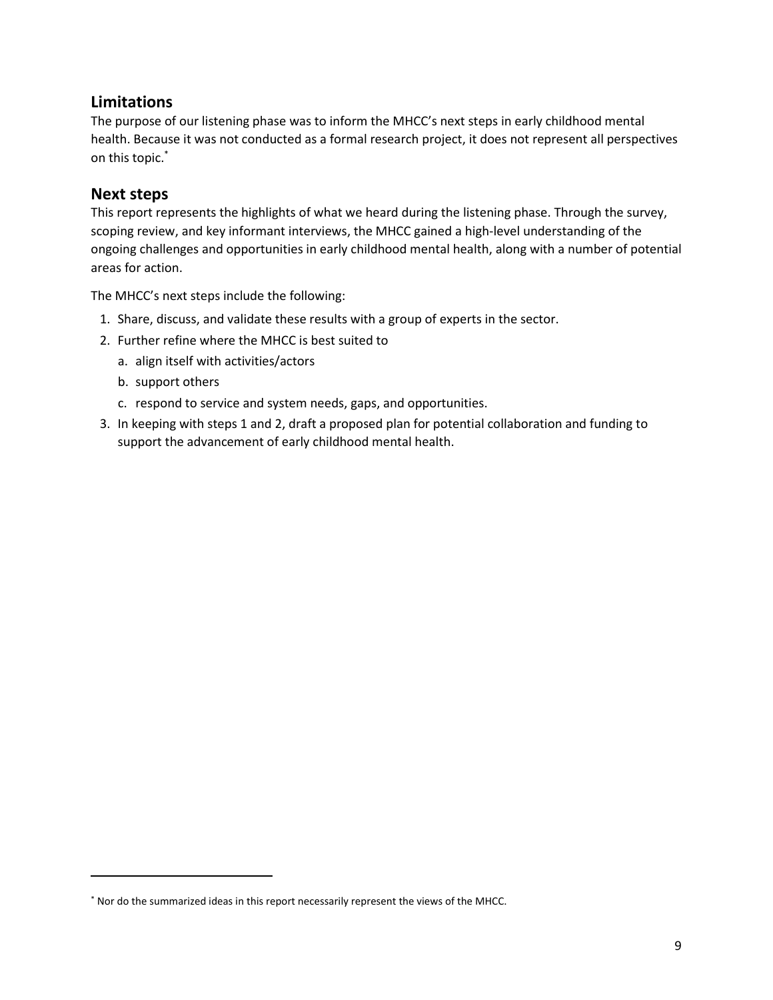#### <span id="page-11-0"></span>**Limitations**

The purpose of our listening phase was to inform the MHCC's next steps in early childhood mental health. Because it was not conducted as a formal research project, it does not represent all perspectives on this topic.\*

#### <span id="page-11-1"></span>**Next steps**

This report represents the highlights of what we heard during the listening phase. Through the survey, scoping review, and key informant interviews, the MHCC gained a high-level understanding of the ongoing challenges and opportunities in early childhood mental health, along with a number of potential areas for action.

The MHCC's next steps include the following:

- 1. Share, discuss, and validate these results with a group of experts in the sector.
- 2. Further refine where the MHCC is best suited to
	- a. align itself with activities/actors
	- b. support others
	- c. respond to service and system needs, gaps, and opportunities.
- 3. In keeping with steps 1 and 2, draft a proposed plan for potential collaboration and funding to support the advancement of early childhood mental health.

<sup>\*</sup> Nor do the summarized ideas in this report necessarily represent the views of the MHCC.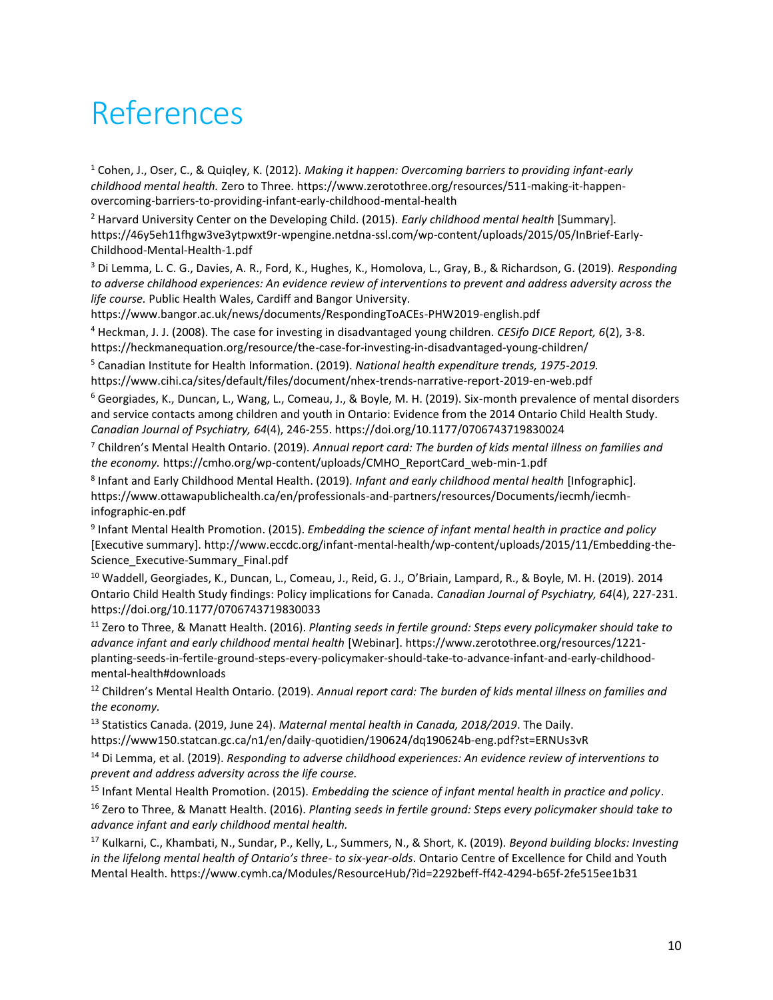## <span id="page-12-0"></span>References

<sup>1</sup> Cohen, J., Oser, C., & Quiqley, K. (2012). *Making it happen: Overcoming barriers to providing infant-early childhood mental health.* Zero to Three. https://www.zerotothree.org/resources/511-making-it-happenovercoming-barriers-to-providing-infant-early-childhood-mental-health

<sup>2</sup> Harvard University Center on the Developing Child. (2015). *Early childhood mental health* [Summary]*.* https://46y5eh11fhgw3ve3ytpwxt9r-wpengine.netdna-ssl.com/wp-content/uploads/2015/05/InBrief-Early-Childhood-Mental-Health-1.pdf

<sup>3</sup> Di Lemma, L. C. G., Davies, A. R., Ford, K., Hughes, K., Homolova, L., Gray, B., & Richardson, G. (2019). *Responding to adverse childhood experiences: An evidence review of interventions to prevent and address adversity across the life course.* Public Health Wales, Cardiff and Bangor University.

https://www.bangor.ac.uk/news/documents/RespondingToACEs-PHW2019-english.pdf

<sup>4</sup> Heckman, J. J. (2008). The case for investing in disadvantaged young children. *CESifo DICE Report, 6*(2), 3-8. https://heckmanequation.org/resource/the-case-for-investing-in-disadvantaged-young-children/

<sup>5</sup> Canadian Institute for Health Information. (2019). *National health expenditure trends, 1975-2019.* https://www.cihi.ca/sites/default/files/document/nhex-trends-narrative-report-2019-en-web.pdf

<sup>6</sup> Georgiades, K., Duncan, L., Wang, L., Comeau, J., & Boyle, M. H. (2019). Six-month prevalence of mental disorders and service contacts among children and youth in Ontario: Evidence from the 2014 Ontario Child Health Study. *Canadian Journal of Psychiatry, 64*(4), 246-255. https://doi.org/10.1177/0706743719830024

<sup>7</sup> Children's Mental Health Ontario. (2019). *Annual report card: The burden of kids mental illness on families and the economy.* https://cmho.org/wp-content/uploads/CMHO\_ReportCard\_web-min-1.pdf

8 Infant and Early Childhood Mental Health. (2019). *Infant and early childhood mental health* [Infographic]. https://www.ottawapublichealth.ca/en/professionals-and-partners/resources/Documents/iecmh/iecmhinfographic-en.pdf

9 Infant Mental Health Promotion. (2015). *Embedding the science of infant mental health in practice and policy* [Executive summary]. http://www.eccdc.org/infant-mental-health/wp-content/uploads/2015/11/Embedding-the-Science Executive-Summary Final.pdf

<sup>10</sup> Waddell, Georgiades, K., Duncan, L., Comeau, J., Reid, G. J., O'Briain, Lampard, R., & Boyle, M. H. (2019). 2014 Ontario Child Health Study findings: Policy implications for Canada. *Canadian Journal of Psychiatry, 64*(4), 227-231. https://doi.org/10.1177/0706743719830033

<sup>11</sup> Zero to Three, & Manatt Health. (2016). *Planting seeds in fertile ground: Steps every policymaker should take to advance infant and early childhood mental health* [Webinar]. https://www.zerotothree.org/resources/1221 planting-seeds-in-fertile-ground-steps-every-policymaker-should-take-to-advance-infant-and-early-childhoodmental-health#downloads

<sup>12</sup> Children's Mental Health Ontario. (2019). *Annual report card: The burden of kids mental illness on families and the economy.*

<sup>13</sup> Statistics Canada. (2019, June 24). *Maternal mental health in Canada, 2018/2019*. The Daily. https://www150.statcan.gc.ca/n1/en/daily-quotidien/190624/dq190624b-eng.pdf?st=ERNUs3vR

<sup>14</sup> Di Lemma, et al. (2019). *Responding to adverse childhood experiences: An evidence review of interventions to prevent and address adversity across the life course.*

<sup>15</sup> Infant Mental Health Promotion. (2015). *Embedding the science of infant mental health in practice and policy*.

<sup>16</sup> Zero to Three, & Manatt Health. (2016). *Planting seeds in fertile ground: Steps every policymaker should take to advance infant and early childhood mental health.*

<sup>17</sup> Kulkarni, C., Khambati, N., Sundar, P., Kelly, L., Summers, N., & Short, K. (2019). *Beyond building blocks: Investing in the lifelong mental health of Ontario's three- to six-year-olds*. Ontario Centre of Excellence for Child and Youth Mental Health. https://www.cymh.ca/Modules/ResourceHub/?id=2292beff-ff42-4294-b65f-2fe515ee1b31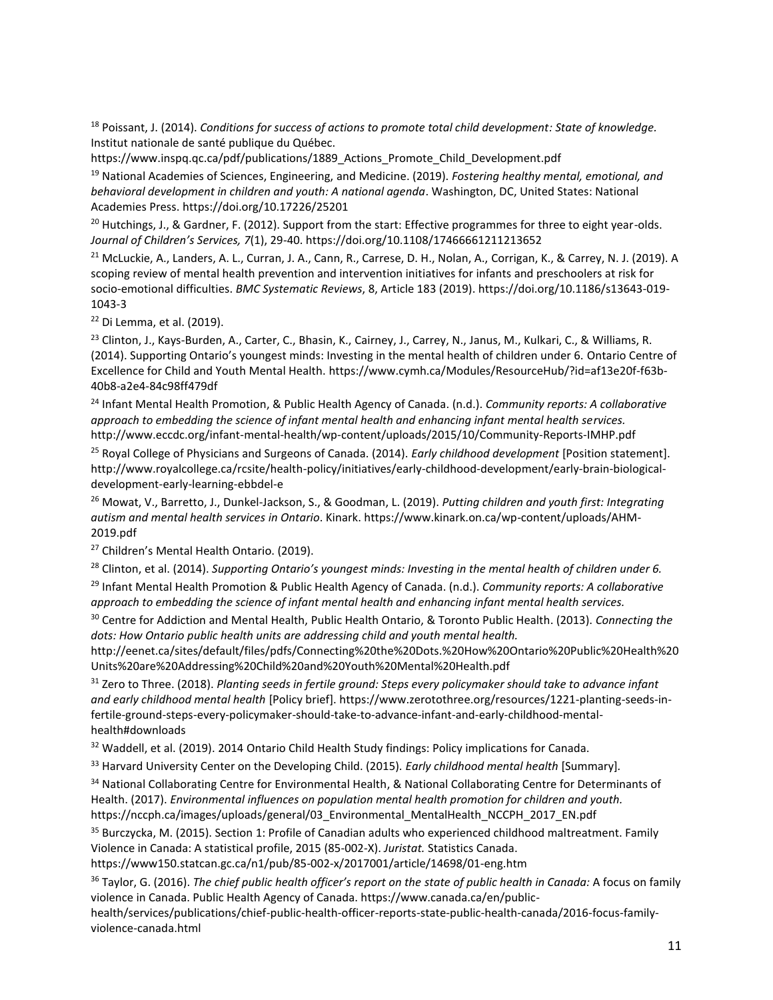<sup>18</sup> Poissant, J. (2014). *Conditions for success of actions to promote total child development: State of knowledge.* Institut nationale de santé publique du Québec.

https://www.inspq.qc.ca/pdf/publications/1889\_Actions\_Promote\_Child\_Development.pdf

<sup>19</sup> National Academies of Sciences, Engineering, and Medicine. (2019). *Fostering healthy mental, emotional, and behavioral development in children and youth: A national agenda*. Washington, DC, United States: National Academies Press. https://doi.org/10.17226/25201

 $^{20}$  Hutchings, J., & Gardner, F. (2012). Support from the start: Effective programmes for three to eight year-olds. *Journal of Children's Services, 7*(1), 29-40. https://doi.org/10.1108/17466661211213652

<sup>21</sup> McLuckie, A., Landers, A. L., Curran, J. A., Cann, R., Carrese, D. H., Nolan, A., Corrigan, K., & Carrey, N. J. (2019). A scoping review of mental health prevention and intervention initiatives for infants and preschoolers at risk for socio-emotional difficulties. *BMC Systematic Reviews*, 8, Article 183 (2019). https://doi.org/10.1186/s13643-019- 1043-3

<sup>22</sup> Di Lemma, et al. (2019).

<sup>23</sup> Clinton, J., Kays-Burden, A., Carter, C., Bhasin, K., Cairney, J., Carrey, N., Janus, M., Kulkari, C., & Williams, R. (2014). Supporting Ontario's youngest minds: Investing in the mental health of children under 6. Ontario Centre of Excellence for Child and Youth Mental Health. https://www.cymh.ca/Modules/ResourceHub/?id=af13e20f-f63b-40b8-a2e4-84c98ff479df

<sup>24</sup> Infant Mental Health Promotion, & Public Health Agency of Canada. (n.d.). *Community reports: A collaborative approach to embedding the science of infant mental health and enhancing infant mental health services.* http://www.eccdc.org/infant-mental-health/wp-content/uploads/2015/10/Community-Reports-IMHP.pdf

<sup>25</sup> Royal College of Physicians and Surgeons of Canada. (2014). *Early childhood development* [Position statement]. http://www.royalcollege.ca/rcsite/health-policy/initiatives/early-childhood-development/early-brain-biologicaldevelopment-early-learning-ebbdel-e

<sup>26</sup> Mowat, V., Barretto, J., Dunkel-Jackson, S., & Goodman, L. (2019). *Putting children and youth first: Integrating autism and mental health services in Ontario*. Kinark. https://www.kinark.on.ca/wp-content/uploads/AHM-2019.pdf

<sup>27</sup> Children's Mental Health Ontario. (2019).

<sup>28</sup> Clinton, et al. (2014). *Supporting Ontario's youngest minds: Investing in the mental health of children under 6.* <sup>29</sup> Infant Mental Health Promotion & Public Health Agency of Canada. (n.d.). *Community reports: A collaborative approach to embedding the science of infant mental health and enhancing infant mental health services.*

<sup>30</sup> Centre for Addiction and Mental Health, Public Health Ontario, & Toronto Public Health. (2013). *Connecting the dots: How Ontario public health units are addressing child and youth mental health.* 

http://eenet.ca/sites/default/files/pdfs/Connecting%20the%20Dots.%20How%20Ontario%20Public%20Health%20 Units%20are%20Addressing%20Child%20and%20Youth%20Mental%20Health.pdf

<sup>31</sup> Zero to Three. (2018). *Planting seeds in fertile ground: Steps every policymaker should take to advance infant and early childhood mental health* [Policy brief]. https://www.zerotothree.org/resources/1221-planting-seeds-infertile-ground-steps-every-policymaker-should-take-to-advance-infant-and-early-childhood-mentalhealth#downloads

<sup>32</sup> Waddell, et al. (2019). 2014 Ontario Child Health Study findings: Policy implications for Canada.

<sup>33</sup> Harvard University Center on the Developing Child. (2015). *Early childhood mental health* [Summary]*.*

34 National Collaborating Centre for Environmental Health, & National Collaborating Centre for Determinants of Health. (2017). *Environmental influences on population mental health promotion for children and youth.* https://nccph.ca/images/uploads/general/03\_Environmental\_MentalHealth\_NCCPH\_2017\_EN.pdf

<sup>35</sup> Burczycka, M. (2015). Section 1: Profile of Canadian adults who experienced childhood maltreatment. Family Violence in Canada: A statistical profile, 2015 (85-002-X). *Juristat.* Statistics Canada.

https://www150.statcan.gc.ca/n1/pub/85-002-x/2017001/article/14698/01-eng.htm

<sup>36</sup> Taylor, G. (2016). *The chief public health officer's report on the state of public health in Canada:* A focus on family violence in Canada. Public Health Agency of Canada. https://www.canada.ca/en/publichealth/services/publications/chief-public-health-officer-reports-state-public-health-canada/2016-focus-family-

violence-canada.html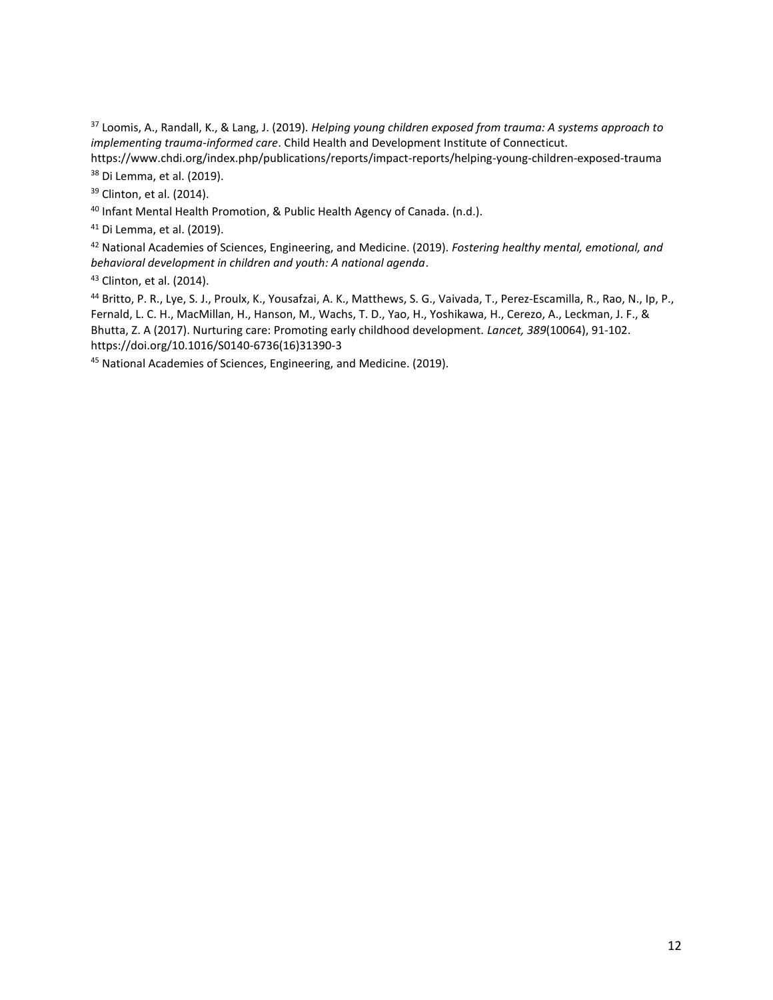<sup>37</sup> Loomis, A., Randall, K., & Lang, J. (2019). *Helping young children exposed from trauma: A systems approach to implementing trauma-informed care*. Child Health and Development Institute of Connecticut. https://www.chdi.org/index.php/publications/reports/impact-reports/helping-young-children-exposed-trauma

<sup>38</sup> Di Lemma, et al. (2019).

<sup>39</sup> Clinton, et al. (2014).

<sup>40</sup> Infant Mental Health Promotion, & Public Health Agency of Canada. (n.d.).

<sup>41</sup> Di Lemma, et al. (2019).

<sup>42</sup> National Academies of Sciences, Engineering, and Medicine. (2019). *Fostering healthy mental, emotional, and behavioral development in children and youth: A national agenda*.

<sup>43</sup> Clinton, et al. (2014).

<sup>44</sup> Britto, P. R., Lye, S. J., Proulx, K., Yousafzai, A. K., Matthews, S. G., Vaivada, T., Perez-Escamilla, R., Rao, N., Ip, P., Fernald, L. C. H., MacMillan, H., Hanson, M., Wachs, T. D., Yao, H., Yoshikawa, H., Cerezo, A., Leckman, J. F., & Bhutta, Z. A (2017). Nurturing care: Promoting early childhood development. *Lancet, 389*(10064), 91-102. https://doi.org/10.1016/S0140-6736(16)31390-3

<sup>45</sup> National Academies of Sciences, Engineering, and Medicine. (2019).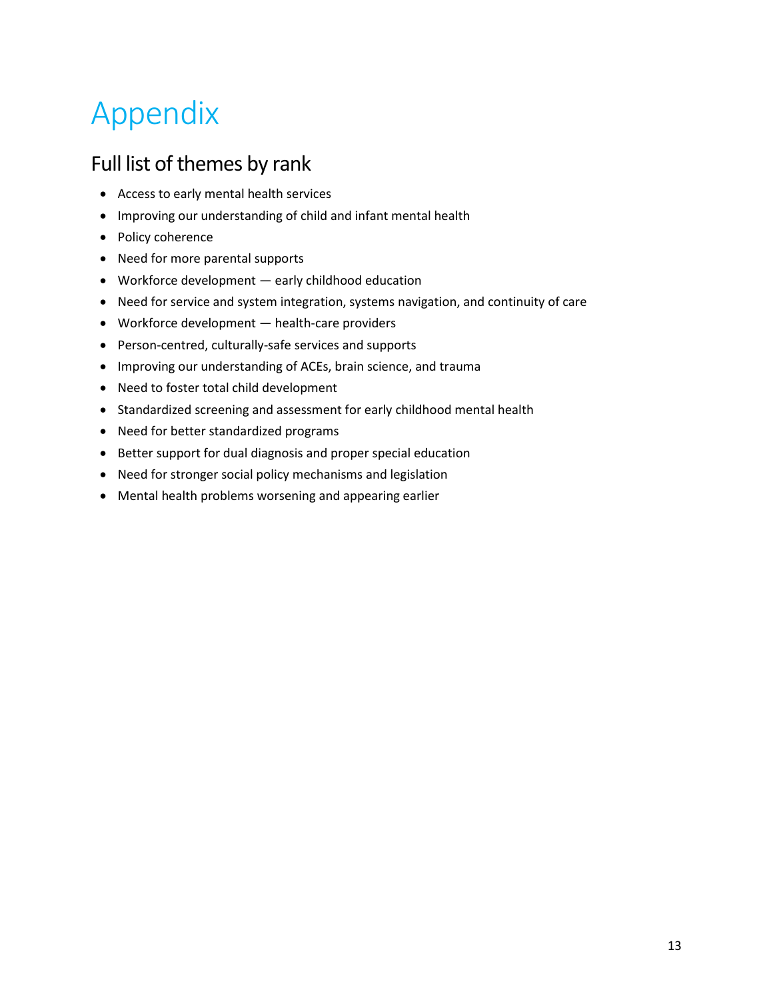## <span id="page-15-0"></span>Appendix

### <span id="page-15-1"></span>Full list of themes by rank

- Access to early mental health services
- Improving our understanding of child and infant mental health
- Policy coherence
- Need for more parental supports
- Workforce development early childhood education
- Need for service and system integration, systems navigation, and continuity of care
- Workforce development health-care providers
- Person-centred, culturally-safe services and supports
- Improving our understanding of ACEs, brain science, and trauma
- Need to foster total child development
- Standardized screening and assessment for early childhood mental health
- Need for better standardized programs
- Better support for dual diagnosis and proper special education
- Need for stronger social policy mechanisms and legislation
- Mental health problems worsening and appearing earlier